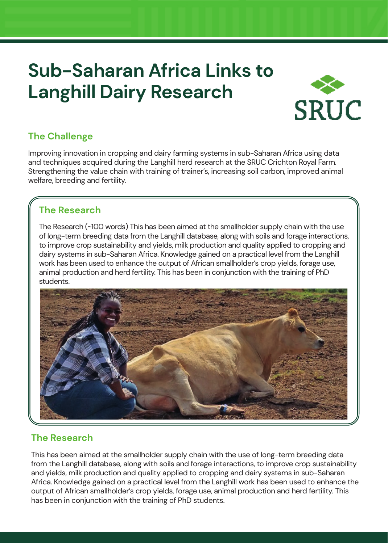# **Sub-Saharan Africa Links to Langhill Dairy Research**



### **The Challenge**

Improving innovation in cropping and dairy farming systems in sub-Saharan Africa using data and techniques acquired during the Langhill herd research at the SRUC Crichton Royal Farm. Strengthening the value chain with training of trainer's, increasing soil carbon, improved animal welfare, breeding and fertility.

#### **The Research**

The Research (~100 words) This has been aimed at the smallholder supply chain with the use of long-term breeding data from the Langhill database, along with soils and forage interactions, to improve crop sustainability and yields, milk production and quality applied to cropping and dairy systems in sub-Saharan Africa. Knowledge gained on a practical level from the Langhill work has been used to enhance the output of African smallholder's crop yields, forage use, animal production and herd fertility. This has been in conjunction with the training of PhD students.



# **The Research**

This has been aimed at the smallholder supply chain with the use of long-term breeding data from the Langhill database, along with soils and forage interactions, to improve crop sustainability and yields, milk production and quality applied to cropping and dairy systems in sub-Saharan Africa. Knowledge gained on a practical level from the Langhill work has been used to enhance the output of African smallholder's crop yields, forage use, animal production and herd fertility. This has been in conjunction with the training of PhD students.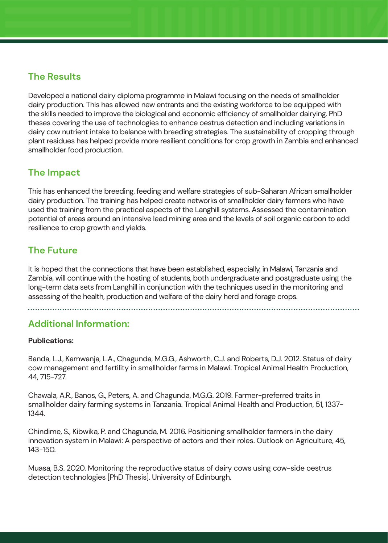#### **The Results**

Developed a national dairy diploma programme in Malawi focusing on the needs of smallholder dairy production. This has allowed new entrants and the existing workforce to be equipped with the skills needed to improve the biological and economic efficiency of smallholder dairying. PhD theses covering the use of technologies to enhance oestrus detection and including variations in dairy cow nutrient intake to balance with breeding strategies. The sustainability of cropping through plant residues has helped provide more resilient conditions for crop growth in Zambia and enhanced smallholder food production.

#### **The Impact**

This has enhanced the breeding, feeding and welfare strategies of sub-Saharan African smallholder dairy production. The training has helped create networks of smallholder dairy farmers who have used the training from the practical aspects of the Langhill systems. Assessed the contamination potential of areas around an intensive lead mining area and the levels of soil organic carbon to add resilience to crop growth and yields.

# **The Future**

It is hoped that the connections that have been established, especially, in Malawi, Tanzania and Zambia, will continue with the hosting of students, both undergraduate and postgraduate using the long-term data sets from Langhill in conjunction with the techniques used in the monitoring and assessing of the health, production and welfare of the dairy herd and forage crops.

#### **Additional Information:**

#### **Publications:**

Banda, L.J., Kamwanja, L.A., Chagunda, M.G.G., Ashworth, C.J. and Roberts, D.J. 2012. Status of dairy cow management and fertility in smallholder farms in Malawi. Tropical Animal Health Production, 44, 715-727.

Chawala, A.R., Banos, G., Peters, A. and Chagunda, M.G.G. 2019. Farmer-preferred traits in smallholder dairy farming systems in Tanzania. Tropical Animal Health and Production, 51, 1337- 1344.

Chindime, S., Kibwika, P. and Chagunda, M. 2016. Positioning smallholder farmers in the dairy innovation system in Malawi: A perspective of actors and their roles. Outlook on Agriculture, 45, 143-150.

Muasa, B.S. 2020. Monitoring the reproductive status of dairy cows using cow-side oestrus detection technologies [PhD Thesis]. University of Edinburgh.